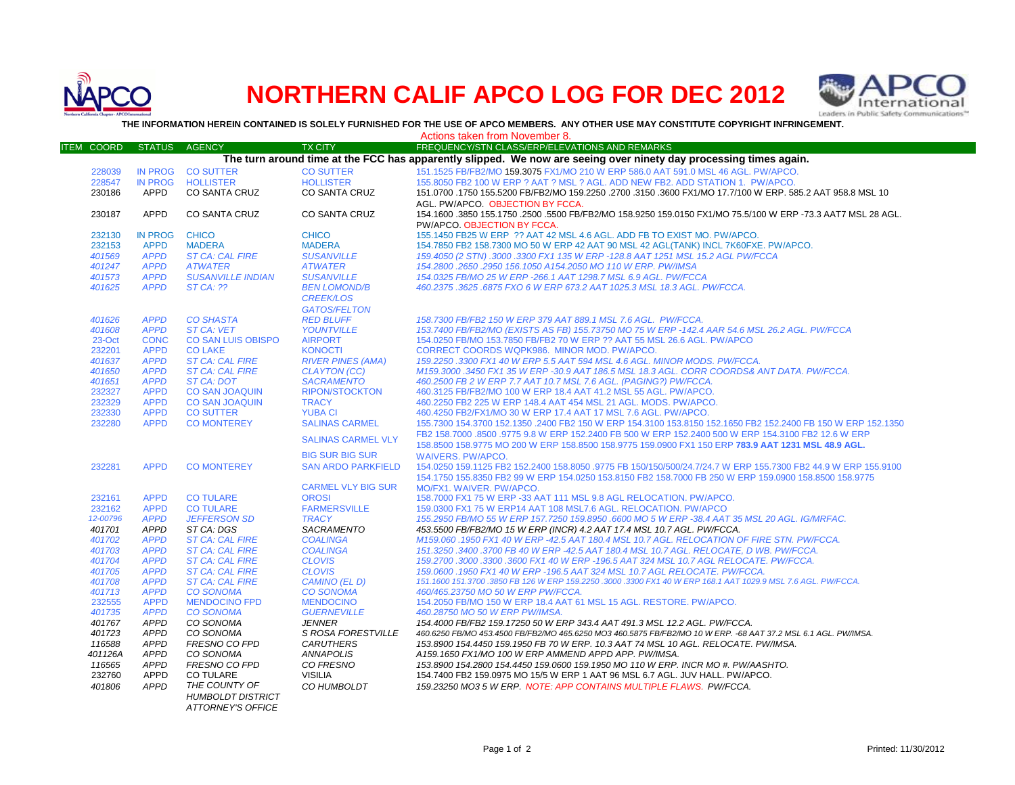

## **NORTHERN CALIF APCO LOG FOR DEC 2012**



**THE INFORMATION HEREIN CONTAINED IS SOLELY FURNISHED FOR THE USE OF APCO MEMBERS. ANY OTHER USE MAY CONSTITUTE COPYRIGHT INFRINGEMENT.**

|                                                                                                                   |                |                           |                           | Actions taken from November 8.                                                                                 |  |  |  |  |
|-------------------------------------------------------------------------------------------------------------------|----------------|---------------------------|---------------------------|----------------------------------------------------------------------------------------------------------------|--|--|--|--|
| <b>ITEM COORD</b>                                                                                                 | <b>STATUS</b>  | <b>AGENCY</b>             | <b>TX CITY</b>            | FREQUENCY/STN CLASS/ERP/ELEVATIONS AND REMARKS                                                                 |  |  |  |  |
| The turn around time at the FCC has apparently slipped. We now are seeing over ninety day processing times again. |                |                           |                           |                                                                                                                |  |  |  |  |
| 228039                                                                                                            |                | IN PROG CO SUTTER         | <b>CO SUTTER</b>          | 151.1525 FB/FB2/MO 159.3075 FX1/MO 210 W ERP 586.0 AAT 591.0 MSL 46 AGL. PW/APCO.                              |  |  |  |  |
| 228547                                                                                                            | <b>IN PROG</b> | <b>HOLLISTER</b>          | <b>HOLLISTER</b>          | 155.8050 FB2 100 W ERP ? AAT ? MSL ? AGL. ADD NEW FB2. ADD STATION 1. PW/APCO.                                 |  |  |  |  |
| 230186                                                                                                            | APPD           | <b>CO SANTA CRUZ</b>      | <b>CO SANTA CRUZ</b>      | 151.0700 .1750 155.5200 FB/FB2/MO 159.2250 .2700 .3150 .3600 FX1/MO 17.7/100 W ERP, 585.2 AAT 958.8 MSL 10     |  |  |  |  |
|                                                                                                                   |                |                           |                           | AGL. PW/APCO. OBJECTION BY FCCA.                                                                               |  |  |  |  |
| 230187                                                                                                            | <b>APPD</b>    | <b>CO SANTA CRUZ</b>      | CO SANTA CRUZ             | 154.1600 .3850 155.1750 .2500 .5500 FB/FB2/MO 158.9250 159.0150 FX1/MO 75.5/100 W ERP -73.3 AAT7 MSL 28 AGL.   |  |  |  |  |
|                                                                                                                   |                |                           |                           | PW/APCO, OBJECTION BY FCCA.                                                                                    |  |  |  |  |
| 232130                                                                                                            | <b>IN PROG</b> | <b>CHICO</b>              | <b>CHICO</b>              | 155.1450 FB25 W ERP ?? AAT 42 MSL 4.6 AGL. ADD FB TO EXIST MO. PW/APCO.                                        |  |  |  |  |
| 232153                                                                                                            | <b>APPD</b>    | <b>MADERA</b>             | <b>MADERA</b>             | 154.7850 FB2 158.7300 MO 50 W ERP 42 AAT 90 MSL 42 AGL(TANK) INCL 7K60FXE. PW/APCO.                            |  |  |  |  |
| 401569                                                                                                            | <b>APPD</b>    | <b>ST CA: CAL FIRE</b>    | <b>SUSANVILLE</b>         | 159.4050 (2 STN) .3000 .3300 FX1 135 W ERP -128.8 AAT 1251 MSL 15.2 AGL PW/FCCA                                |  |  |  |  |
| 401247                                                                                                            | <b>APPD</b>    | <b>ATWATER</b>            | <b>ATWATER</b>            | 154.2800.2650.2950 156.1050 A154.2050 MO 110 W ERP. PW/IMSA                                                    |  |  |  |  |
| 401573                                                                                                            | <b>APPD</b>    | <b>SUSANVILLE INDIAN</b>  | <b>SUSANVILLE</b>         | 154.0325 FB/MO 25 W ERP -266.1 AAT 1298.7 MSL 6.9 AGL. PW/FCCA                                                 |  |  |  |  |
| 401625                                                                                                            | <b>APPD</b>    | $STCA:$ ??                | <b>BEN LOMOND/B</b>       | 460.2375.3625.6875 FXO 6 W ERP 673.2 AAT 1025.3 MSL 18.3 AGL. PW/FCCA.                                         |  |  |  |  |
|                                                                                                                   |                |                           | <b>CREEK/LOS</b>          |                                                                                                                |  |  |  |  |
|                                                                                                                   |                |                           | <b>GATOS/FELTON</b>       |                                                                                                                |  |  |  |  |
| 401626                                                                                                            | <b>APPD</b>    | <b>CO SHASTA</b>          | <b>RED BLUFF</b>          | 158.7300 FB/FB2 150 W ERP 379 AAT 889.1 MSL 7.6 AGL. PW/FCCA.                                                  |  |  |  |  |
| 401608                                                                                                            | <b>APPD</b>    | <b>ST CA: VET</b>         | <b>YOUNTVILLE</b>         | 153.7400 FB/FB2/MO (EXISTS AS FB) 155.73750 MO 75 W ERP -142.4 AAR 54.6 MSL 26.2 AGL. PW/FCCA                  |  |  |  |  |
| 23-Oct                                                                                                            | <b>CONC</b>    | <b>CO SAN LUIS OBISPO</b> | <b>AIRPORT</b>            | 154.0250 FB/MO 153.7850 FB/FB2 70 W ERP ?? AAT 55 MSL 26.6 AGL. PW/APCO                                        |  |  |  |  |
| 232201                                                                                                            | <b>APPD</b>    | <b>CO LAKE</b>            | <b>KONOCTI</b>            | CORRECT COORDS WQPK986. MINOR MOD. PW/APCO.                                                                    |  |  |  |  |
| 401637                                                                                                            | <b>APPD</b>    | <b>ST CA: CAL FIRE</b>    | <b>RIVER PINES (AMA)</b>  | 159.2250 .3300 FX1 40 W ERP 5.5 AAT 594 MSL 4.6 AGL. MINOR MODS. PW/FCCA.                                      |  |  |  |  |
| 401650                                                                                                            | <b>APPD</b>    | <b>ST CA: CAL FIRE</b>    | <b>CLAYTON (CC)</b>       | M159.3000 .3450 FX1 35 W ERP -30.9 AAT 186.5 MSL 18.3 AGL. CORR COORDS& ANT DATA. PW/FCCA.                     |  |  |  |  |
| 401651                                                                                                            | <b>APPD</b>    | ST CA: DOT                | <b>SACRAMENTO</b>         | 460.2500 FB 2 W ERP 7.7 AAT 10.7 MSL 7.6 AGL. (PAGING?) PW/FCCA.                                               |  |  |  |  |
| 232327                                                                                                            | <b>APPD</b>    | <b>CO SAN JOAQUIN</b>     | <b>RIPON/STOCKTON</b>     | 460.3125 FB/FB2/MO 100 W ERP 18.4 AAT 41.2 MSL 55 AGL, PW/APCO.                                                |  |  |  |  |
| 232329                                                                                                            | <b>APPD</b>    | <b>CO SAN JOAQUIN</b>     | <b>TRACY</b>              | 460.2250 FB2 225 W ERP 148.4 AAT 454 MSL 21 AGL. MODS. PW/APCO.                                                |  |  |  |  |
| 232330                                                                                                            | <b>APPD</b>    | <b>CO SUTTER</b>          | <b>YUBA CI</b>            | 460.4250 FB2/FX1/MO 30 W ERP 17.4 AAT 17 MSL 7.6 AGL. PW/APCO.                                                 |  |  |  |  |
| 232280                                                                                                            | <b>APPD</b>    | <b>CO MONTEREY</b>        | <b>SALINAS CARMEL</b>     | 155.7300 154.3700 152.1350 .2400 FB2 150 W ERP 154.3100 153.8150 152.1650 FB2 152.2400 FB 150 W ERP 152.1350   |  |  |  |  |
|                                                                                                                   |                |                           | <b>SALINAS CARMEL VLY</b> | FB2 158,7000 .8500 .9775 9.8 W ERP 152,2400 FB 500 W ERP 152,2400 500 W ERP 154,3100 FB2 12.6 W ERP            |  |  |  |  |
|                                                                                                                   |                |                           |                           | 158.8500 158.9775 MO 200 W ERP 158.8500 158.9775 159.0900 FX1 150 ERP 783.9 AAT 1231 MSL 48.9 AGL.             |  |  |  |  |
|                                                                                                                   |                |                           | <b>BIG SUR BIG SUR</b>    | <b>WAIVERS, PW/APCO.</b>                                                                                       |  |  |  |  |
| 232281                                                                                                            | <b>APPD</b>    | <b>CO MONTEREY</b>        | <b>SAN ARDO PARKFIELD</b> | 154.0250 159.1125 FB2 152.2400 158.8050 .9775 FB 150/150/500/24.7/24.7 W ERP 155.7300 FB2 44.9 W ERP 155.9100  |  |  |  |  |
|                                                                                                                   |                |                           |                           | 154,1750 155,8350 FB2 99 W ERP 154,0250 153,8150 FB2 158,7000 FB 250 W ERP 159,0900 158,8500 158,9775          |  |  |  |  |
|                                                                                                                   |                |                           | <b>CARMEL VLY BIG SUR</b> | MO/FX1. WAIVER. PW/APCO.                                                                                       |  |  |  |  |
| 232161                                                                                                            | <b>APPD</b>    | <b>CO TULARE</b>          | <b>OROSI</b>              | 158.7000 FX1 75 W ERP -33 AAT 111 MSL 9.8 AGL RELOCATION. PW/APCO.                                             |  |  |  |  |
| 232162                                                                                                            | <b>APPD</b>    | <b>CO TULARE</b>          | <b>FARMERSVILLE</b>       | 159,0300 FX1 75 W ERP14 AAT 108 MSL7.6 AGL, RELOCATION, PW/APCO                                                |  |  |  |  |
| 12-00796                                                                                                          | <b>APPD</b>    | <b>JEFFERSON SD</b>       | <b>TRACY</b>              | 155.2950 FB/MO 55 W ERP 157.7250 159.8950 .6600 MO 5 W ERP -38.4 AAT 35 MSL 20 AGL. IG/MRFAC.                  |  |  |  |  |
| 401701                                                                                                            | <b>APPD</b>    | ST CA: DGS                | SACRAMENTO                | 453.5500 FB/FB2/MO 15 W ERP (INCR) 4.2 AAT 17.4 MSL 10.7 AGL. PW/FCCA.                                         |  |  |  |  |
| 401702                                                                                                            | <b>APPD</b>    | <b>ST CA: CAL FIRE</b>    | <b>COALINGA</b>           | M159.060 .1950 FX1 40 W ERP -42.5 AAT 180.4 MSL 10.7 AGL. RELOCATION OF FIRE STN. PW/FCCA.                     |  |  |  |  |
| 401703                                                                                                            | <b>APPD</b>    | <b>ST CA: CAL FIRE</b>    | <b>COALINGA</b>           | 151.3250 .3400 .3700 FB 40 W ERP -42.5 AAT 180.4 MSL 10.7 AGL. RELOCATE, D WB. PW/FCCA.                        |  |  |  |  |
| 401704                                                                                                            | <b>APPD</b>    | <b>ST CA: CAL FIRE</b>    | <b>CLOVIS</b>             | 159.2700.3000.3300.3600 FX1 40 W ERP -196.5 AAT 324 MSL 10.7 AGL RELOCATE. PW/FCCA.                            |  |  |  |  |
| 401705                                                                                                            | <b>APPD</b>    | <b>ST CA: CAL FIRE</b>    | <b>CLOVIS</b>             | 159.0600.1950 FX1 40 W ERP -196.5 AAT 324 MSL 10.7 AGL RELOCATE. PW/FCCA.                                      |  |  |  |  |
| 401708                                                                                                            | <b>APPD</b>    | <b>ST CA: CAL FIRE</b>    | CAMINO (EL D)             | 151.1600 151.3700 .3850 FB 126 W ERP 159.2250 .3000 .3300 FX1 40 W ERP 168.1 AAT 1029.9 MSL 7.6 AGL. PW/FCCA.  |  |  |  |  |
| 401713                                                                                                            | <b>APPD</b>    | <b>CO SONOMA</b>          | <b>CO SONOMA</b>          | 460/465.23750 MO 50 W ERP PW/FCCA.                                                                             |  |  |  |  |
| 232555                                                                                                            | <b>APPD</b>    | <b>MENDOCINO FPD</b>      | <b>MENDOCINO</b>          | 154.2050 FB/MO 150 W ERP 18.4 AAT 61 MSL 15 AGL. RESTORE. PW/APCO.                                             |  |  |  |  |
| 401735                                                                                                            | <b>APPD</b>    | <b>CO SONOMA</b>          | <b>GUERNEVILLE</b>        | 460.28750 MO 50 W ERP PW/IMSA.                                                                                 |  |  |  |  |
| 401767                                                                                                            | <b>APPD</b>    | CO SONOMA                 | <b>JENNER</b>             | 154.4000 FB/FB2 159.17250 50 W ERP 343.4 AAT 491.3 MSL 12.2 AGL. PW/FCCA.                                      |  |  |  |  |
| 401723                                                                                                            | <b>APPD</b>    | CO SONOMA                 | S ROSA FORESTVILLE        | 460.6250 FB/MO 453.4500 FB/FB2/MO 465.6250 MO3 460.5875 FB/FB2/MO 10 W ERP. -68 AAT 37.2 MSL 6.1 AGL. PW/IMSA. |  |  |  |  |
| 116588                                                                                                            | <b>APPD</b>    | FRESNO CO FPD             | <b>CARUTHERS</b>          | 153.8900 154.4450 159.1950 FB 70 W ERP. 10.3 AAT 74 MSL 10 AGL. RELOCATE. PW/IMSA.                             |  |  |  |  |
| 401126A                                                                                                           | <b>APPD</b>    | CO SONOMA                 | <b>ANNAPOLIS</b>          | A159.1650 FX1/MO 100 W ERP AMMEND APPD APP. PW/IMSA.                                                           |  |  |  |  |
| 116565                                                                                                            | <b>APPD</b>    | <b>FRESNO CO FPD</b>      | CO FRESNO                 | 153.8900 154.2800 154.4450 159.0600 159.1950 MO 110 W ERP. INCR MO #. PW/AASHTO.                               |  |  |  |  |
| 232760                                                                                                            | APPD           | <b>CO TULARE</b>          | <b>VISILIA</b>            | 154.7400 FB2 159.0975 MO 15/5 W ERP 1 AAT 96 MSL 6.7 AGL. JUV HALL. PW/APCO.                                   |  |  |  |  |
| 401806                                                                                                            | <b>APPD</b>    | THE COUNTY OF             | CO HUMBOLDT               | 159.23250 MO3 5 W ERP. NOTE: APP CONTAINS MULTIPLE FLAWS. PW/FCCA.                                             |  |  |  |  |
|                                                                                                                   |                | <b>HUMBOLDT DISTRICT</b>  |                           |                                                                                                                |  |  |  |  |
|                                                                                                                   |                | <b>ATTORNEY'S OFFICE</b>  |                           |                                                                                                                |  |  |  |  |